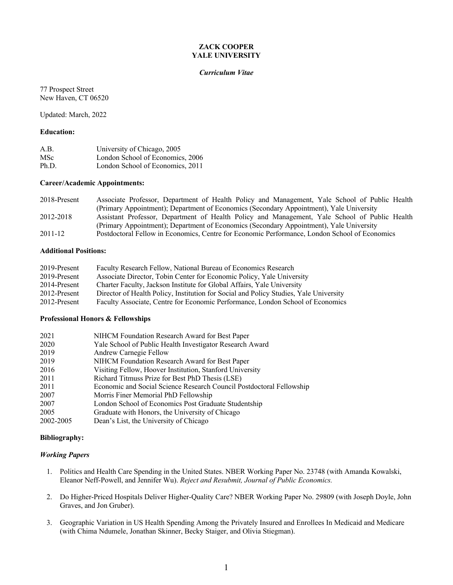# **ZACK COOPER YALE UNIVERSITY**

#### *Curriculum Vitae*

77 Prospect Street New Haven, CT 06520

Updated: March, 2022

## **Education:**

| A.B.       | University of Chicago, 2005      |
|------------|----------------------------------|
| <b>MSc</b> | London School of Economics, 2006 |
| Ph.D.      | London School of Economics, 2011 |

# **Career/Academic Appointments:**

| 2018-Present | Associate Professor, Department of Health Policy and Management, Yale School of Public Health |
|--------------|-----------------------------------------------------------------------------------------------|
|              | (Primary Appointment); Department of Economics (Secondary Appointment), Yale University       |
| 2012-2018    | Assistant Professor, Department of Health Policy and Management, Yale School of Public Health |
|              | (Primary Appointment); Department of Economics (Secondary Appointment), Yale University       |
| $2011 - 12$  | Postdoctoral Fellow in Economics, Centre for Economic Performance, London School of Economics |

## **Additional Positions:**

| 2019-Present | Faculty Research Fellow, National Bureau of Economics Research                        |
|--------------|---------------------------------------------------------------------------------------|
| 2019-Present | Associate Director, Tobin Center for Economic Policy, Yale University                 |
| 2014-Present | Charter Faculty, Jackson Institute for Global Affairs, Yale University                |
| 2012-Present | Director of Health Policy, Institution for Social and Policy Studies, Yale University |
| 2012-Present | Faculty Associate, Centre for Economic Performance, London School of Economics        |

#### **Professional Honors & Fellowships**

| 2021      | NIHCM Foundation Research Award for Best Paper                       |
|-----------|----------------------------------------------------------------------|
| 2020      | Yale School of Public Health Investigator Research Award             |
| 2019      | Andrew Carnegie Fellow                                               |
| 2019      | NIHCM Foundation Research Award for Best Paper                       |
| 2016      | Visiting Fellow, Hoover Institution, Stanford University             |
| 2011      | Richard Titmuss Prize for Best PhD Thesis (LSE)                      |
| 2011      | Economic and Social Science Research Council Postdoctoral Fellowship |
| 2007      | Morris Finer Memorial PhD Fellowship                                 |
| 2007      | London School of Economics Post Graduate Studentship                 |
| 2005      | Graduate with Honors, the University of Chicago                      |
| 2002-2005 | Dean's List, the University of Chicago                               |
|           |                                                                      |

# **Bibliography:**

## *Working Papers*

- 1. Politics and Health Care Spending in the United States. NBER Working Paper No. 23748 (with Amanda Kowalski, Eleanor Neff-Powell, and Jennifer Wu). *Reject and Resubmit, Journal of Public Economics.*
- 2. Do Higher-Priced Hospitals Deliver Higher-Quality Care? NBER Working Paper No. 29809 (with Joseph Doyle, John Graves, and Jon Gruber).
- 3. Geographic Variation in US Health Spending Among the Privately Insured and Enrollees In Medicaid and Medicare (with Chima Ndumele, Jonathan Skinner, Becky Staiger, and Olivia Stiegman).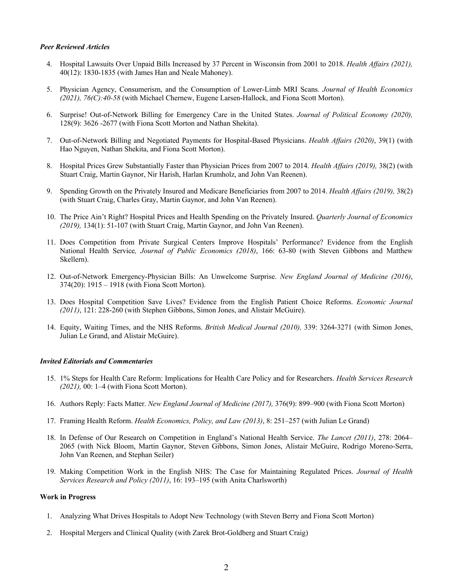#### *Peer Reviewed Articles*

- 4. Hospital Lawsuits Over Unpaid Bills Increased by 37 Percent in Wisconsin from 2001 to 2018. *Health Affairs (2021),* 40(12): 1830-1835 (with James Han and Neale Mahoney).
- 5. Physician Agency, Consumerism, and the Consumption of Lower-Limb MRI Scans*. Journal of Health Economics (2021), 76(C):40-58* (with Michael Chernew, Eugene Larsen-Hallock, and Fiona Scott Morton).
- 6. Surprise! Out-of-Network Billing for Emergency Care in the United States. *Journal of Political Economy (2020),*  128(9): 3626 -2677 (with Fiona Scott Morton and Nathan Shekita).
- 7. Out-of-Network Billing and Negotiated Payments for Hospital-Based Physicians. *Health Affairs (2020)*, 39(1) (with Hao Nguyen, Nathan Shekita, and Fiona Scott Morton).
- 8. Hospital Prices Grew Substantially Faster than Physician Prices from 2007 to 2014. *Health Affairs (2019),* 38(2) (with Stuart Craig, Martin Gaynor, Nir Harish, Harlan Krumholz, and John Van Reenen).
- 9. Spending Growth on the Privately Insured and Medicare Beneficiaries from 2007 to 2014. *Health Affairs (2019),* 38(2) (with Stuart Craig, Charles Gray, Martin Gaynor, and John Van Reenen).
- 10. The Price Ain't Right? Hospital Prices and Health Spending on the Privately Insured. *Quarterly Journal of Economics (2019),* 134(1): 51-107 (with Stuart Craig, Martin Gaynor, and John Van Reenen).
- 11. Does Competition from Private Surgical Centers Improve Hospitals' Performance? Evidence from the English National Health Service*, Journal of Public Economics (2018)*, 166: 63-80 (with Steven Gibbons and Matthew Skellern).
- 12. Out-of-Network Emergency-Physician Bills: An Unwelcome Surprise. *New England Journal of Medicine (2016)*, 374(20): 1915 – 1918 (with Fiona Scott Morton).
- 13. Does Hospital Competition Save Lives? Evidence from the English Patient Choice Reforms. *Economic Journal (2011)*, 121: 228-260 (with Stephen Gibbons, Simon Jones, and Alistair McGuire).
- 14. Equity, Waiting Times, and the NHS Reforms. *British Medical Journal (2010),* 339: 3264-3271 (with Simon Jones, Julian Le Grand, and Alistair McGuire).

## *Invited Editorials and Commentaries*

- 15. 1% Steps for Health Care Reform: Implications for Health Care Policy and for Researchers. *Health Services Research (2021),* 00: 1–4 (with Fiona Scott Morton).
- 16. Authors Reply: Facts Matter. *New England Journal of Medicine (2017),* 376(9): 899–900 (with Fiona Scott Morton)
- 17. Framing Health Reform. *Health Economics, Policy, and Law (2013)*, 8: 251–257 (with Julian Le Grand)
- 18. In Defense of Our Research on Competition in England's National Health Service. *The Lancet (2011)*, 278: 2064– 2065 (with Nick Bloom, Martin Gaynor, Steven Gibbons, Simon Jones, Alistair McGuire, Rodrigo Moreno-Serra, John Van Reenen, and Stephan Seiler)
- 19. Making Competition Work in the English NHS: The Case for Maintaining Regulated Prices. *Journal of Health Services Research and Policy (2011)*, 16: 193–195 (with Anita Charlsworth)

#### **Work in Progress**

- 1. Analyzing What Drives Hospitals to Adopt New Technology (with Steven Berry and Fiona Scott Morton)
- 2. Hospital Mergers and Clinical Quality (with Zarek Brot-Goldberg and Stuart Craig)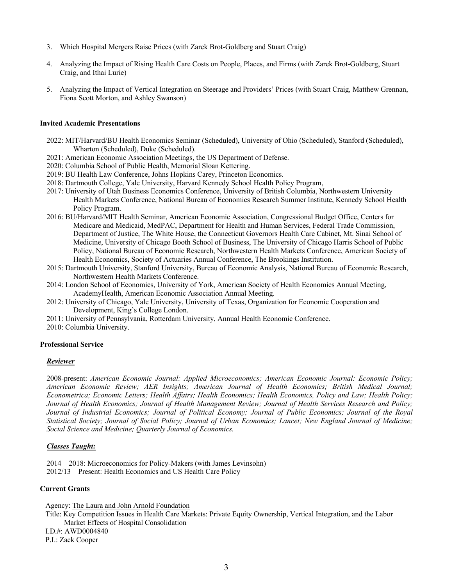- 3. Which Hospital Mergers Raise Prices (with Zarek Brot-Goldberg and Stuart Craig)
- 4. Analyzing the Impact of Rising Health Care Costs on People, Places, and Firms (with Zarek Brot-Goldberg, Stuart Craig, and Ithai Lurie)
- 5. Analyzing the Impact of Vertical Integration on Steerage and Providers' Prices (with Stuart Craig, Matthew Grennan, Fiona Scott Morton, and Ashley Swanson)

#### **Invited Academic Presentations**

- 2022: MIT/Harvard/BU Health Economics Seminar (Scheduled), University of Ohio (Scheduled), Stanford (Scheduled), Wharton (Scheduled), Duke (Scheduled).
- 2021: American Economic Association Meetings, the US Department of Defense.
- 2020: Columbia School of Public Health, Memorial Sloan Kettering.
- 2019: BU Health Law Conference, Johns Hopkins Carey, Princeton Economics.
- 2018: Dartmouth College, Yale University, Harvard Kennedy School Health Policy Program,
- 2017: University of Utah Business Economics Conference, University of British Columbia, Northwestern University Health Markets Conference, National Bureau of Economics Research Summer Institute, Kennedy School Health Policy Program.
- 2016: BU/Harvard/MIT Health Seminar, American Economic Association, Congressional Budget Office, Centers for Medicare and Medicaid, MedPAC, Department for Health and Human Services, Federal Trade Commission, Department of Justice, The White House, the Connecticut Governors Health Care Cabinet, Mt. Sinai School of Medicine, University of Chicago Booth School of Business, The University of Chicago Harris School of Public Policy, National Bureau of Economic Research, Northwestern Health Markets Conference, American Society of Health Economics, Society of Actuaries Annual Conference, The Brookings Institution.
- 2015: Dartmouth University, Stanford University, Bureau of Economic Analysis, National Bureau of Economic Research, Northwestern Health Markets Conference.
- 2014: London School of Economics, University of York, American Society of Health Economics Annual Meeting, AcademyHealth, American Economic Association Annual Meeting.
- 2012: University of Chicago, Yale University, University of Texas, Organization for Economic Cooperation and Development, King's College London.
- 2011: University of Pennsylvania, Rotterdam University, Annual Health Economic Conference.
- 2010: Columbia University.

#### **Professional Service**

#### *Reviewer*

2008-present: *American Economic Journal: Applied Microeconomics; American Economic Journal: Economic Policy; American Economic Review; AER Insights; American Journal of Health Economics; British Medical Journal; Econometrica; Economic Letters; Health Affairs; Health Economics; Health Economics, Policy and Law; Health Policy; Journal of Health Economics; Journal of Health Management Review; Journal of Health Services Research and Policy; Journal of Industrial Economics; Journal of Political Economy; Journal of Public Economics; Journal of the Royal Statistical Society; Journal of Social Policy; Journal of Urban Economics; Lancet; New England Journal of Medicine; Social Science and Medicine; Quarterly Journal of Economics.*

## *Classes Taught:*

2014 – 2018: Microeconomics for Policy-Makers (with James Levinsohn) 2012/13 – Present: Health Economics and US Health Care Policy

## **Current Grants**

Agency: The Laura and John Arnold Foundation

 Title: Key Competition Issues in Health Care Markets: Private Equity Ownership, Vertical Integration, and the Labor Market Effects of Hospital Consolidation

I.D.#: AWD0004840

P.I.: Zack Cooper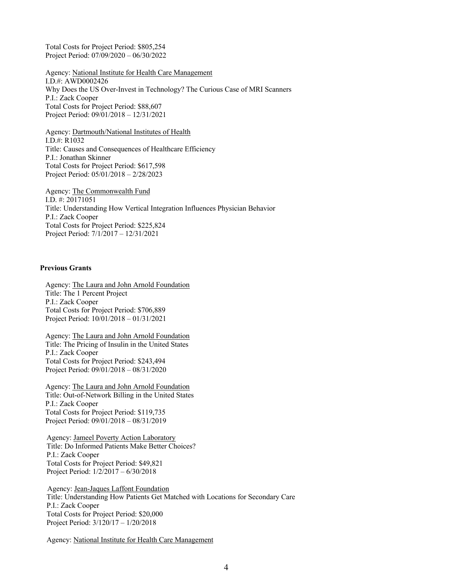Total Costs for Project Period: \$805,254 Project Period: 07/09/2020 – 06/30/2022

Agency: National Institute for Health Care Management I.D.#: AWD0002426 Why Does the US Over-Invest in Technology? The Curious Case of MRI Scanners P.I.: Zack Cooper Total Costs for Project Period: \$88,607 Project Period: 09/01/2018 – 12/31/2021

 Agency: Dartmouth/National Institutes of Health I.D.#: R1032 Title: Causes and Consequences of Healthcare Efficiency P.I.: Jonathan Skinner Total Costs for Project Period: \$617,598 Project Period: 05/01/2018 – 2/28/2023

 Agency: The Commonwealth Fund I.D. #: 20171051 Title: Understanding How Vertical Integration Influences Physician Behavior P.I.: Zack Cooper Total Costs for Project Period: \$225,824 Project Period: 7/1/2017 – 12/31/2021

## **Previous Grants**

 Agency: The Laura and John Arnold Foundation Title: The 1 Percent Project P.I.: Zack Cooper Total Costs for Project Period: \$706,889 Project Period: 10/01/2018 – 01/31/2021

 Agency: The Laura and John Arnold Foundation Title: The Pricing of Insulin in the United States P.I.: Zack Cooper Total Costs for Project Period: \$243,494 Project Period: 09/01/2018 – 08/31/2020

 Agency: The Laura and John Arnold Foundation Title: Out-of-Network Billing in the United States P.I.: Zack Cooper Total Costs for Project Period: \$119,735 Project Period: 09/01/2018 – 08/31/2019

Agency: Jameel Poverty Action Laboratory Title: Do Informed Patients Make Better Choices? P.I.: Zack Cooper Total Costs for Project Period: \$49,821 Project Period: 1/2/2017 – 6/30/2018

 Agency: Jean-Jaques Laffont Foundation Title: Understanding How Patients Get Matched with Locations for Secondary Care P.I.: Zack Cooper Total Costs for Project Period: \$20,000 Project Period: 3/120/17 – 1/20/2018

Agency: National Institute for Health Care Management